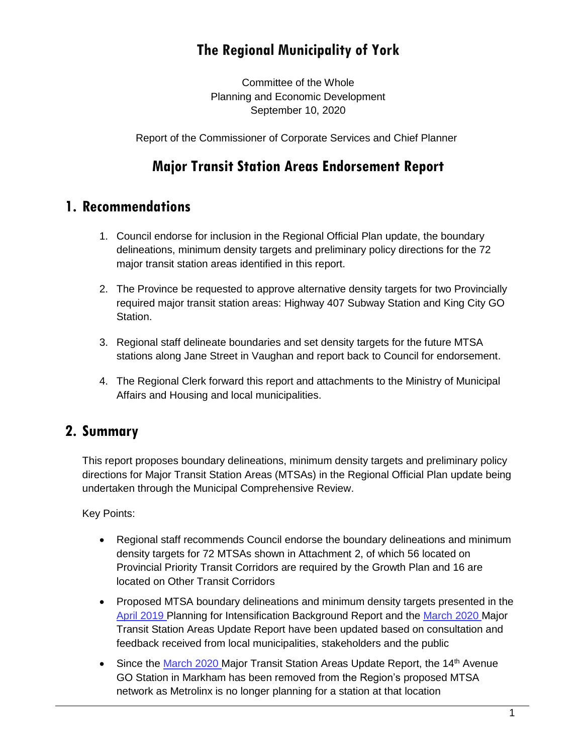# **The Regional Municipality of York**

Committee of the Whole Planning and Economic Development September 10, 2020

Report of the Commissioner of Corporate Services and Chief Planner

# **Major Transit Station Areas Endorsement Report**

## **1. Recommendations**

- 1. Council endorse for inclusion in the Regional Official Plan update, the boundary delineations, minimum density targets and preliminary policy directions for the 72 major transit station areas identified in this report.
- 2. The Province be requested to approve alternative density targets for two Provincially required major transit station areas: Highway 407 Subway Station and King City GO Station.
- 3. Regional staff delineate boundaries and set density targets for the future MTSA stations along Jane Street in Vaughan and report back to Council for endorsement.
- 4. The Regional Clerk forward this report and attachments to the Ministry of Municipal Affairs and Housing and local municipalities.

## **2. Summary**

This report proposes boundary delineations, minimum density targets and preliminary policy directions for Major Transit Station Areas (MTSAs) in the Regional Official Plan update being undertaken through the Municipal Comprehensive Review.

Key Points:

- Regional staff recommends Council endorse the boundary delineations and minimum density targets for 72 MTSAs shown in Attachment 2, of which 56 located on Provincial Priority Transit Corridors are required by the Growth Plan and 16 are located on Other Transit Corridors
- Proposed MTSA boundary delineations and minimum density targets presented in the [April 2019](https://yorkpublishing.escribemeetings.com/Meeting.aspx?Id=8bda6571-44af-4caa-a948-ff957ab77206&Agenda=Merged&lang=English&Item=30) Planning for Intensification Background Report and the [March 2020](https://yorkpublishing.escribemeetings.com/Meeting.aspx?Id=607985f5-aa03-4d9a-a5a7-95e24db3da8e&Agenda=Merged&lang=English&Item=44) Major Transit Station Areas Update Report have been updated based on consultation and feedback received from local municipalities, stakeholders and the public
- Since the [March 2020](https://yorkpublishing.escribemeetings.com/Meeting.aspx?Id=607985f5-aa03-4d9a-a5a7-95e24db3da8e&Agenda=Merged&lang=English&Item=44) Major Transit Station Areas Update Report, the 14<sup>th</sup> Avenue GO Station in Markham has been removed from the Region's proposed MTSA network as Metrolinx is no longer planning for a station at that location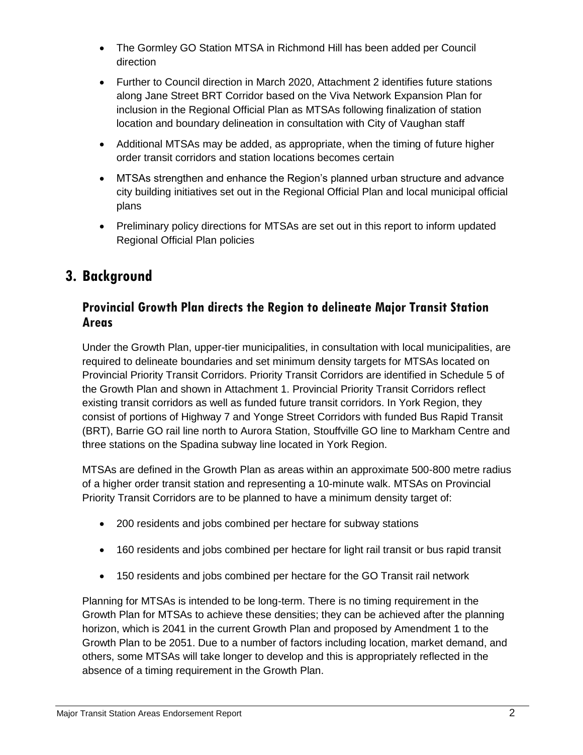- The Gormley GO Station MTSA in Richmond Hill has been added per Council direction
- Further to Council direction in March 2020, Attachment 2 identifies future stations along Jane Street BRT Corridor based on the Viva Network Expansion Plan for inclusion in the Regional Official Plan as MTSAs following finalization of station location and boundary delineation in consultation with City of Vaughan staff
- Additional MTSAs may be added, as appropriate, when the timing of future higher order transit corridors and station locations becomes certain
- MTSAs strengthen and enhance the Region's planned urban structure and advance city building initiatives set out in the Regional Official Plan and local municipal official plans
- Preliminary policy directions for MTSAs are set out in this report to inform updated Regional Official Plan policies

# **3. Background**

#### **Provincial Growth Plan directs the Region to delineate Major Transit Station Areas**

Under the Growth Plan, upper-tier municipalities, in consultation with local municipalities, are required to delineate boundaries and set minimum density targets for MTSAs located on Provincial Priority Transit Corridors. Priority Transit Corridors are identified in Schedule 5 of the Growth Plan and shown in Attachment 1. Provincial Priority Transit Corridors reflect existing transit corridors as well as funded future transit corridors. In York Region, they consist of portions of Highway 7 and Yonge Street Corridors with funded Bus Rapid Transit (BRT), Barrie GO rail line north to Aurora Station, Stouffville GO line to Markham Centre and three stations on the Spadina subway line located in York Region.

MTSAs are defined in the Growth Plan as areas within an approximate 500-800 metre radius of a higher order transit station and representing a 10-minute walk. MTSAs on Provincial Priority Transit Corridors are to be planned to have a minimum density target of:

- 200 residents and jobs combined per hectare for subway stations
- 160 residents and jobs combined per hectare for light rail transit or bus rapid transit
- 150 residents and jobs combined per hectare for the GO Transit rail network

Planning for MTSAs is intended to be long-term. There is no timing requirement in the Growth Plan for MTSAs to achieve these densities; they can be achieved after the planning horizon, which is 2041 in the current Growth Plan and proposed by Amendment 1 to the Growth Plan to be 2051. Due to a number of factors including location, market demand, and others, some MTSAs will take longer to develop and this is appropriately reflected in the absence of a timing requirement in the Growth Plan.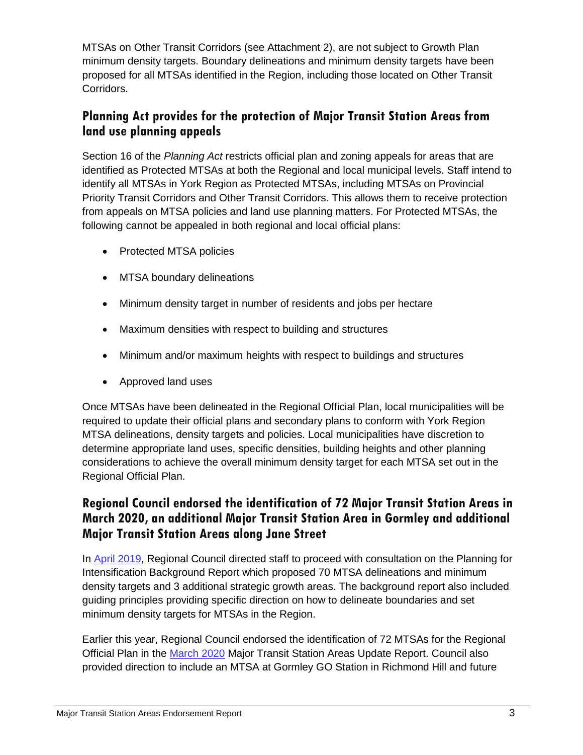MTSAs on Other Transit Corridors (see Attachment 2), are not subject to Growth Plan minimum density targets. Boundary delineations and minimum density targets have been proposed for all MTSAs identified in the Region, including those located on Other Transit Corridors.

### **Planning Act provides for the protection of Major Transit Station Areas from land use planning appeals**

Section 16 of the *Planning Act* restricts official plan and zoning appeals for areas that are identified as Protected MTSAs at both the Regional and local municipal levels. Staff intend to identify all MTSAs in York Region as Protected MTSAs, including MTSAs on Provincial Priority Transit Corridors and Other Transit Corridors. This allows them to receive protection from appeals on MTSA policies and land use planning matters. For Protected MTSAs, the following cannot be appealed in both regional and local official plans:

- Protected MTSA policies
- MTSA boundary delineations
- Minimum density target in number of residents and jobs per hectare
- Maximum densities with respect to building and structures
- Minimum and/or maximum heights with respect to buildings and structures
- Approved land uses

Once MTSAs have been delineated in the Regional Official Plan, local municipalities will be required to update their official plans and secondary plans to conform with York Region MTSA delineations, density targets and policies. Local municipalities have discretion to determine appropriate land uses, specific densities, building heights and other planning considerations to achieve the overall minimum density target for each MTSA set out in the Regional Official Plan.

#### **Regional Council endorsed the identification of 72 Major Transit Station Areas in March 2020, an additional Major Transit Station Area in Gormley and additional Major Transit Station Areas along Jane Street**

In [April 2019,](https://yorkpublishing.escribemeetings.com/Meeting.aspx?Id=8bda6571-44af-4caa-a948-ff957ab77206&Agenda=Merged&lang=English&Item=30) Regional Council directed staff to proceed with consultation on the Planning for Intensification Background Report which proposed 70 MTSA delineations and minimum density targets and 3 additional strategic growth areas. The background report also included guiding principles providing specific direction on how to delineate boundaries and set minimum density targets for MTSAs in the Region.

Earlier this year, Regional Council endorsed the identification of 72 MTSAs for the Regional Official Plan in the [March 2020](https://yorkpublishing.escribemeetings.com/Meeting.aspx?Id=607985f5-aa03-4d9a-a5a7-95e24db3da8e&Agenda=Merged&lang=English&Item=44) Major Transit Station Areas Update Report. Council also provided direction to include an MTSA at Gormley GO Station in Richmond Hill and future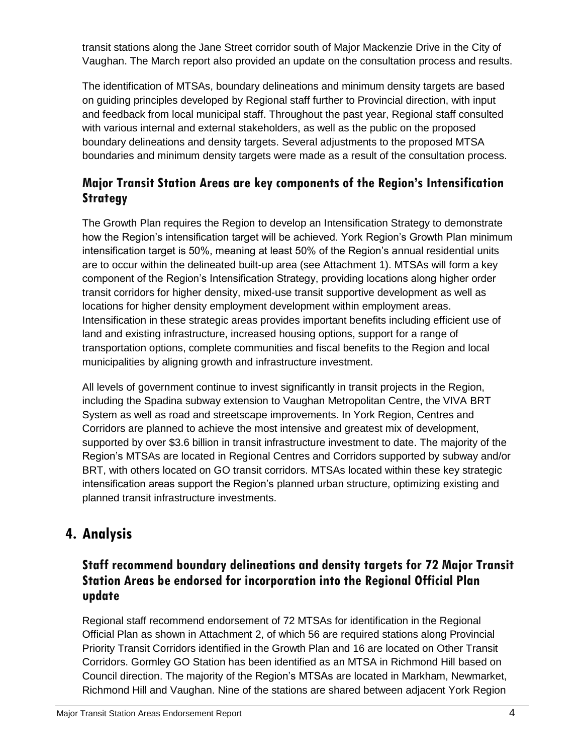transit stations along the Jane Street corridor south of Major Mackenzie Drive in the City of Vaughan. The March report also provided an update on the consultation process and results.

The identification of MTSAs, boundary delineations and minimum density targets are based on guiding principles developed by Regional staff further to Provincial direction, with input and feedback from local municipal staff. Throughout the past year, Regional staff consulted with various internal and external stakeholders, as well as the public on the proposed boundary delineations and density targets. Several adjustments to the proposed MTSA boundaries and minimum density targets were made as a result of the consultation process.

### **Major Transit Station Areas are key components of the Region's Intensification Strategy**

The Growth Plan requires the Region to develop an Intensification Strategy to demonstrate how the Region's intensification target will be achieved. York Region's Growth Plan minimum intensification target is 50%, meaning at least 50% of the Region's annual residential units are to occur within the delineated built-up area (see Attachment 1). MTSAs will form a key component of the Region's Intensification Strategy, providing locations along higher order transit corridors for higher density, mixed-use transit supportive development as well as locations for higher density employment development within employment areas. Intensification in these strategic areas provides important benefits including efficient use of land and existing infrastructure, increased housing options, support for a range of transportation options, complete communities and fiscal benefits to the Region and local municipalities by aligning growth and infrastructure investment.

All levels of government continue to invest significantly in transit projects in the Region, including the Spadina subway extension to Vaughan Metropolitan Centre, the VIVA BRT System as well as road and streetscape improvements. In York Region, Centres and Corridors are planned to achieve the most intensive and greatest mix of development, supported by over \$3.6 billion in transit infrastructure investment to date. The majority of the Region's MTSAs are located in Regional Centres and Corridors supported by subway and/or BRT, with others located on GO transit corridors. MTSAs located within these key strategic intensification areas support the Region's planned urban structure, optimizing existing and planned transit infrastructure investments.

# **4. Analysis**

### **Staff recommend boundary delineations and density targets for 72 Major Transit Station Areas be endorsed for incorporation into the Regional Official Plan update**

Regional staff recommend endorsement of 72 MTSAs for identification in the Regional Official Plan as shown in Attachment 2, of which 56 are required stations along Provincial Priority Transit Corridors identified in the Growth Plan and 16 are located on Other Transit Corridors. Gormley GO Station has been identified as an MTSA in Richmond Hill based on Council direction. The majority of the Region's MTSAs are located in Markham, Newmarket, Richmond Hill and Vaughan. Nine of the stations are shared between adjacent York Region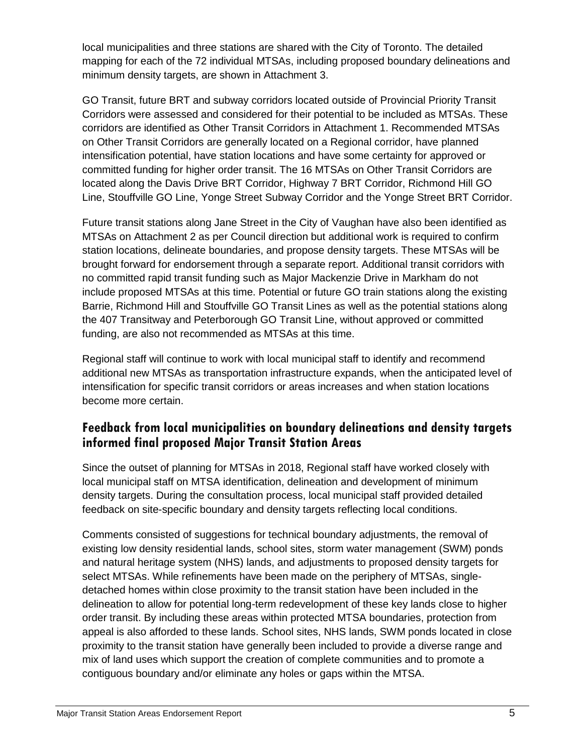local municipalities and three stations are shared with the City of Toronto. The detailed mapping for each of the 72 individual MTSAs, including proposed boundary delineations and minimum density targets, are shown in Attachment 3.

GO Transit, future BRT and subway corridors located outside of Provincial Priority Transit Corridors were assessed and considered for their potential to be included as MTSAs. These corridors are identified as Other Transit Corridors in Attachment 1. Recommended MTSAs on Other Transit Corridors are generally located on a Regional corridor, have planned intensification potential, have station locations and have some certainty for approved or committed funding for higher order transit. The 16 MTSAs on Other Transit Corridors are located along the Davis Drive BRT Corridor, Highway 7 BRT Corridor, Richmond Hill GO Line, Stouffville GO Line, Yonge Street Subway Corridor and the Yonge Street BRT Corridor.

Future transit stations along Jane Street in the City of Vaughan have also been identified as MTSAs on Attachment 2 as per Council direction but additional work is required to confirm station locations, delineate boundaries, and propose density targets. These MTSAs will be brought forward for endorsement through a separate report. Additional transit corridors with no committed rapid transit funding such as Major Mackenzie Drive in Markham do not include proposed MTSAs at this time. Potential or future GO train stations along the existing Barrie, Richmond Hill and Stouffville GO Transit Lines as well as the potential stations along the 407 Transitway and Peterborough GO Transit Line, without approved or committed funding, are also not recommended as MTSAs at this time.

Regional staff will continue to work with local municipal staff to identify and recommend additional new MTSAs as transportation infrastructure expands, when the anticipated level of intensification for specific transit corridors or areas increases and when station locations become more certain.

### **Feedback from local municipalities on boundary delineations and density targets informed final proposed Major Transit Station Areas**

Since the outset of planning for MTSAs in 2018, Regional staff have worked closely with local municipal staff on MTSA identification, delineation and development of minimum density targets. During the consultation process, local municipal staff provided detailed feedback on site-specific boundary and density targets reflecting local conditions.

Comments consisted of suggestions for technical boundary adjustments, the removal of existing low density residential lands, school sites, storm water management (SWM) ponds and natural heritage system (NHS) lands, and adjustments to proposed density targets for select MTSAs. While refinements have been made on the periphery of MTSAs, singledetached homes within close proximity to the transit station have been included in the delineation to allow for potential long-term redevelopment of these key lands close to higher order transit. By including these areas within protected MTSA boundaries, protection from appeal is also afforded to these lands. School sites, NHS lands, SWM ponds located in close proximity to the transit station have generally been included to provide a diverse range and mix of land uses which support the creation of complete communities and to promote a contiguous boundary and/or eliminate any holes or gaps within the MTSA.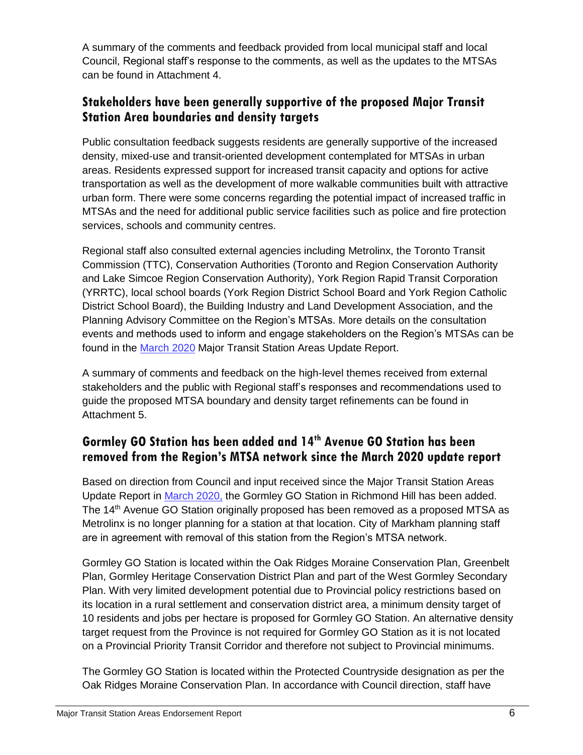A summary of the comments and feedback provided from local municipal staff and local Council, Regional staff's response to the comments, as well as the updates to the MTSAs can be found in Attachment 4.

### **Stakeholders have been generally supportive of the proposed Major Transit Station Area boundaries and density targets**

Public consultation feedback suggests residents are generally supportive of the increased density, mixed-use and transit-oriented development contemplated for MTSAs in urban areas. Residents expressed support for increased transit capacity and options for active transportation as well as the development of more walkable communities built with attractive urban form. There were some concerns regarding the potential impact of increased traffic in MTSAs and the need for additional public service facilities such as police and fire protection services, schools and community centres.

Regional staff also consulted external agencies including Metrolinx, the Toronto Transit Commission (TTC), Conservation Authorities (Toronto and Region Conservation Authority and Lake Simcoe Region Conservation Authority), York Region Rapid Transit Corporation (YRRTC), local school boards (York Region District School Board and York Region Catholic District School Board), the Building Industry and Land Development Association, and the Planning Advisory Committee on the Region's MTSAs. More details on the consultation events and methods used to inform and engage stakeholders on the Region's MTSAs can be found in the [March 2020](https://yorkpublishing.escribemeetings.com/Meeting.aspx?Id=607985f5-aa03-4d9a-a5a7-95e24db3da8e&Agenda=Merged&lang=English&Item=44) Major Transit Station Areas Update Report.

A summary of comments and feedback on the high-level themes received from external stakeholders and the public with Regional staff's responses and recommendations used to guide the proposed MTSA boundary and density target refinements can be found in Attachment 5.

### **Gormley GO Station has been added and 14th Avenue GO Station has been removed from the Region's MTSA network since the March 2020 update report**

Based on direction from Council and input received since the Major Transit Station Areas Update Report in [March 2020,](https://yorkpublishing.escribemeetings.com/Meeting.aspx?Id=607985f5-aa03-4d9a-a5a7-95e24db3da8e&Agenda=Merged&lang=English&Item=44) the Gormley GO Station in Richmond Hill has been added. The 14th Avenue GO Station originally proposed has been removed as a proposed MTSA as Metrolinx is no longer planning for a station at that location. City of Markham planning staff are in agreement with removal of this station from the Region's MTSA network.

Gormley GO Station is located within the Oak Ridges Moraine Conservation Plan, Greenbelt Plan, Gormley Heritage Conservation District Plan and part of the West Gormley Secondary Plan. With very limited development potential due to Provincial policy restrictions based on its location in a rural settlement and conservation district area, a minimum density target of 10 residents and jobs per hectare is proposed for Gormley GO Station. An alternative density target request from the Province is not required for Gormley GO Station as it is not located on a Provincial Priority Transit Corridor and therefore not subject to Provincial minimums.

The Gormley GO Station is located within the Protected Countryside designation as per the Oak Ridges Moraine Conservation Plan. In accordance with Council direction, staff have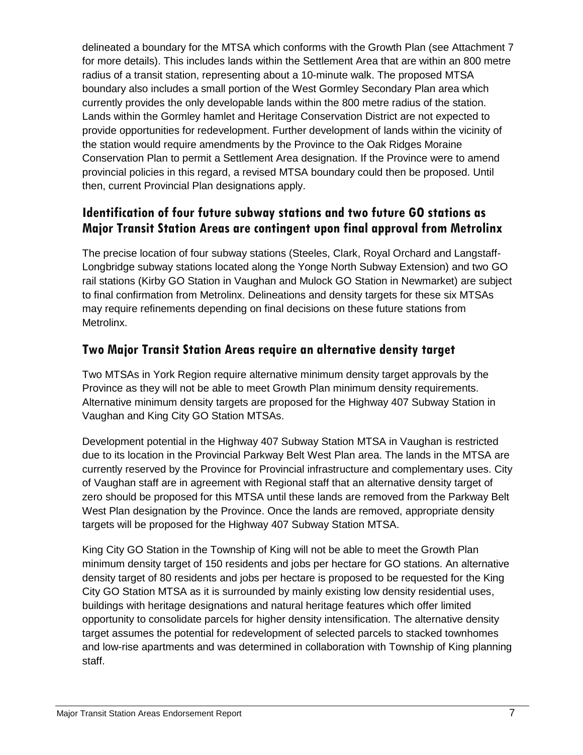delineated a boundary for the MTSA which conforms with the Growth Plan (see Attachment 7 for more details). This includes lands within the Settlement Area that are within an 800 metre radius of a transit station, representing about a 10-minute walk. The proposed MTSA boundary also includes a small portion of the West Gormley Secondary Plan area which currently provides the only developable lands within the 800 metre radius of the station. Lands within the Gormley hamlet and Heritage Conservation District are not expected to provide opportunities for redevelopment. Further development of lands within the vicinity of the station would require amendments by the Province to the Oak Ridges Moraine Conservation Plan to permit a Settlement Area designation. If the Province were to amend provincial policies in this regard, a revised MTSA boundary could then be proposed. Until then, current Provincial Plan designations apply.

#### **Identification of four future subway stations and two future GO stations as Major Transit Station Areas are contingent upon final approval from Metrolinx**

The precise location of four subway stations (Steeles, Clark, Royal Orchard and Langstaff-Longbridge subway stations located along the Yonge North Subway Extension) and two GO rail stations (Kirby GO Station in Vaughan and Mulock GO Station in Newmarket) are subject to final confirmation from Metrolinx. Delineations and density targets for these six MTSAs may require refinements depending on final decisions on these future stations from Metrolinx.

#### **Two Major Transit Station Areas require an alternative density target**

Two MTSAs in York Region require alternative minimum density target approvals by the Province as they will not be able to meet Growth Plan minimum density requirements. Alternative minimum density targets are proposed for the Highway 407 Subway Station in Vaughan and King City GO Station MTSAs.

Development potential in the Highway 407 Subway Station MTSA in Vaughan is restricted due to its location in the Provincial Parkway Belt West Plan area. The lands in the MTSA are currently reserved by the Province for Provincial infrastructure and complementary uses. City of Vaughan staff are in agreement with Regional staff that an alternative density target of zero should be proposed for this MTSA until these lands are removed from the Parkway Belt West Plan designation by the Province. Once the lands are removed, appropriate density targets will be proposed for the Highway 407 Subway Station MTSA.

King City GO Station in the Township of King will not be able to meet the Growth Plan minimum density target of 150 residents and jobs per hectare for GO stations. An alternative density target of 80 residents and jobs per hectare is proposed to be requested for the King City GO Station MTSA as it is surrounded by mainly existing low density residential uses, buildings with heritage designations and natural heritage features which offer limited opportunity to consolidate parcels for higher density intensification. The alternative density target assumes the potential for redevelopment of selected parcels to stacked townhomes and low-rise apartments and was determined in collaboration with Township of King planning staff.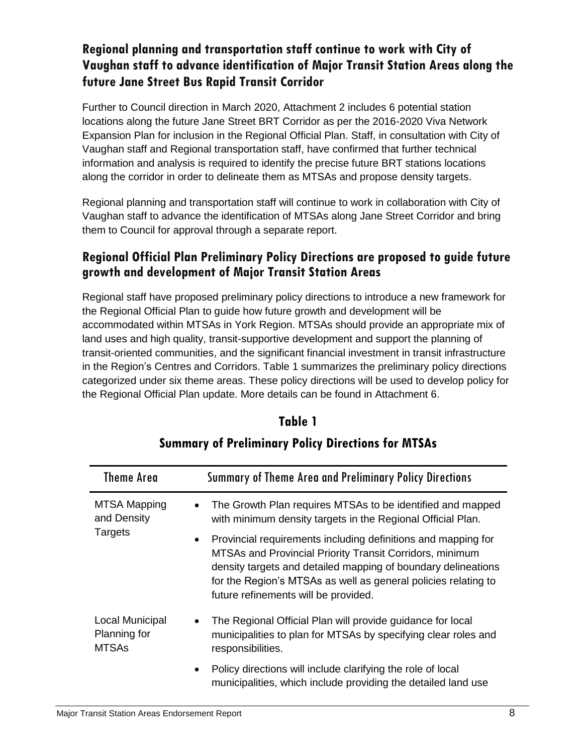## **Regional planning and transportation staff continue to work with City of Vaughan staff to advance identification of Major Transit Station Areas along the future Jane Street Bus Rapid Transit Corridor**

Further to Council direction in March 2020, Attachment 2 includes 6 potential station locations along the future Jane Street BRT Corridor as per the 2016-2020 Viva Network Expansion Plan for inclusion in the Regional Official Plan. Staff, in consultation with City of Vaughan staff and Regional transportation staff, have confirmed that further technical information and analysis is required to identify the precise future BRT stations locations along the corridor in order to delineate them as MTSAs and propose density targets.

Regional planning and transportation staff will continue to work in collaboration with City of Vaughan staff to advance the identification of MTSAs along Jane Street Corridor and bring them to Council for approval through a separate report.

#### **Regional Official Plan Preliminary Policy Directions are proposed to guide future growth and development of Major Transit Station Areas**

Regional staff have proposed preliminary policy directions to introduce a new framework for the Regional Official Plan to guide how future growth and development will be accommodated within MTSAs in York Region. MTSAs should provide an appropriate mix of land uses and high quality, transit-supportive development and support the planning of transit-oriented communities, and the significant financial investment in transit infrastructure in the Region's Centres and Corridors. Table 1 summarizes the preliminary policy directions categorized under six theme areas. These policy directions will be used to develop policy for the Regional Official Plan update. More details can be found in Attachment 6.

| <b>Theme Area</b>                               | Summary of Theme Area and Preliminary Policy Directions                                                                                                                                                                                                                                                           |
|-------------------------------------------------|-------------------------------------------------------------------------------------------------------------------------------------------------------------------------------------------------------------------------------------------------------------------------------------------------------------------|
| <b>MTSA Mapping</b><br>and Density<br>Targets   | The Growth Plan requires MTSAs to be identified and mapped<br>with minimum density targets in the Regional Official Plan.                                                                                                                                                                                         |
|                                                 | Provincial requirements including definitions and mapping for<br>$\bullet$<br>MTSAs and Provincial Priority Transit Corridors, minimum<br>density targets and detailed mapping of boundary delineations<br>for the Region's MTSAs as well as general policies relating to<br>future refinements will be provided. |
| Local Municipal<br>Planning for<br><b>MTSAs</b> | The Regional Official Plan will provide guidance for local<br>٠<br>municipalities to plan for MTSAs by specifying clear roles and<br>responsibilities.                                                                                                                                                            |
|                                                 | Policy directions will include clarifying the role of local<br>$\bullet$<br>municipalities, which include providing the detailed land use                                                                                                                                                                         |

# **Table 1**

# **Summary of Preliminary Policy Directions for MTSAs**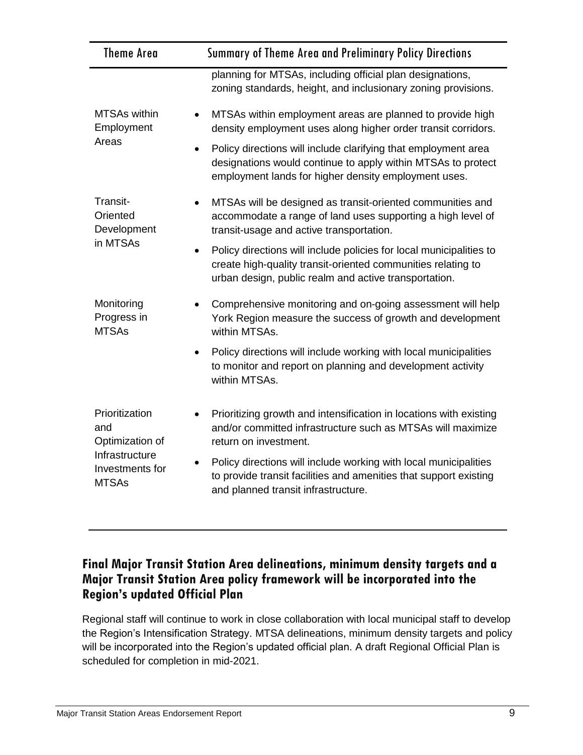| <b>Theme Area</b>                                       | Summary of Theme Area and Preliminary Policy Directions                                                                                                                                      |
|---------------------------------------------------------|----------------------------------------------------------------------------------------------------------------------------------------------------------------------------------------------|
|                                                         | planning for MTSAs, including official plan designations,<br>zoning standards, height, and inclusionary zoning provisions.                                                                   |
| <b>MTSAs within</b><br>$\bullet$<br>Employment<br>Areas | MTSAs within employment areas are planned to provide high<br>density employment uses along higher order transit corridors.                                                                   |
|                                                         | Policy directions will include clarifying that employment area<br>designations would continue to apply within MTSAs to protect<br>employment lands for higher density employment uses.       |
| Transit-<br>Oriented<br>Development                     | MTSAs will be designed as transit-oriented communities and<br>accommodate a range of land uses supporting a high level of<br>transit-usage and active transportation.                        |
| in MTSAs<br>$\bullet$                                   | Policy directions will include policies for local municipalities to<br>create high-quality transit-oriented communities relating to<br>urban design, public realm and active transportation. |
| Monitoring<br>Progress in<br><b>MTSAs</b>               | Comprehensive monitoring and on-going assessment will help<br>York Region measure the success of growth and development<br>within MTSAs.                                                     |
|                                                         | Policy directions will include working with local municipalities<br>to monitor and report on planning and development activity<br>within MTSAs.                                              |
| Prioritization<br>and<br>Optimization of                | Prioritizing growth and intensification in locations with existing<br>and/or committed infrastructure such as MTSAs will maximize<br>return on investment.                                   |
| Infrastructure<br>Investments for<br><b>MTSAs</b>       | Policy directions will include working with local municipalities<br>to provide transit facilities and amenities that support existing<br>and planned transit infrastructure.                 |

#### **Final Major Transit Station Area delineations, minimum density targets and a Major Transit Station Area policy framework will be incorporated into the Region's updated Official Plan**

Regional staff will continue to work in close collaboration with local municipal staff to develop the Region's Intensification Strategy. MTSA delineations, minimum density targets and policy will be incorporated into the Region's updated official plan. A draft Regional Official Plan is scheduled for completion in mid-2021.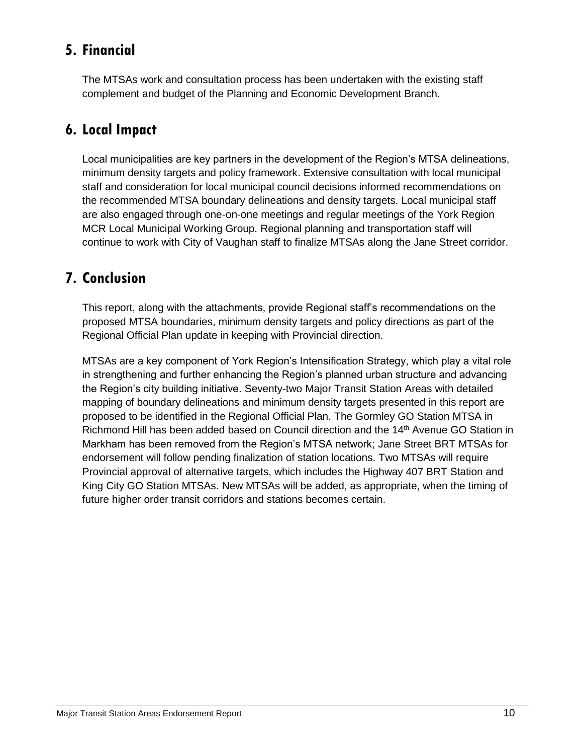# **5. Financial**

The MTSAs work and consultation process has been undertaken with the existing staff complement and budget of the Planning and Economic Development Branch.

## **6. Local Impact**

Local municipalities are key partners in the development of the Region's MTSA delineations, minimum density targets and policy framework. Extensive consultation with local municipal staff and consideration for local municipal council decisions informed recommendations on the recommended MTSA boundary delineations and density targets. Local municipal staff are also engaged through one-on-one meetings and regular meetings of the York Region MCR Local Municipal Working Group. Regional planning and transportation staff will continue to work with City of Vaughan staff to finalize MTSAs along the Jane Street corridor.

# **7. Conclusion**

This report, along with the attachments, provide Regional staff's recommendations on the proposed MTSA boundaries, minimum density targets and policy directions as part of the Regional Official Plan update in keeping with Provincial direction.

MTSAs are a key component of York Region's Intensification Strategy, which play a vital role in strengthening and further enhancing the Region's planned urban structure and advancing the Region's city building initiative. Seventy-two Major Transit Station Areas with detailed mapping of boundary delineations and minimum density targets presented in this report are proposed to be identified in the Regional Official Plan. The Gormley GO Station MTSA in Richmond Hill has been added based on Council direction and the 14<sup>th</sup> Avenue GO Station in Markham has been removed from the Region's MTSA network; Jane Street BRT MTSAs for endorsement will follow pending finalization of station locations. Two MTSAs will require Provincial approval of alternative targets, which includes the Highway 407 BRT Station and King City GO Station MTSAs. New MTSAs will be added, as appropriate, when the timing of future higher order transit corridors and stations becomes certain.